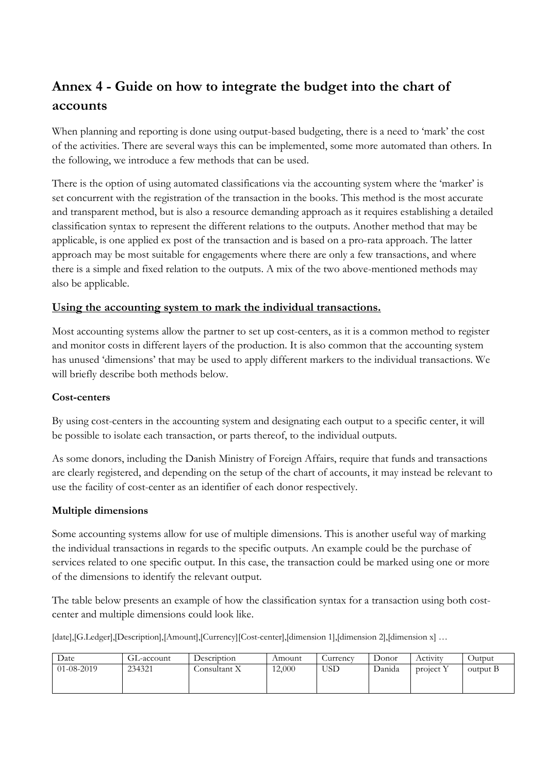# **Annex 4 - Guide on how to integrate the budget into the chart of accounts**

When planning and reporting is done using output-based budgeting, there is a need to 'mark' the cost of the activities. There are several ways this can be implemented, some more automated than others. In the following, we introduce a few methods that can be used.

There is the option of using automated classifications via the accounting system where the 'marker' is set concurrent with the registration of the transaction in the books. This method is the most accurate and transparent method, but is also a resource demanding approach as it requires establishing a detailed classification syntax to represent the different relations to the outputs. Another method that may be applicable, is one applied ex post of the transaction and is based on a pro-rata approach. The latter approach may be most suitable for engagements where there are only a few transactions, and where there is a simple and fixed relation to the outputs. A mix of the two above-mentioned methods may also be applicable.

#### **Using the accounting system to mark the individual transactions.**

Most accounting systems allow the partner to set up cost-centers, as it is a common method to register and monitor costs in different layers of the production. It is also common that the accounting system has unused 'dimensions' that may be used to apply different markers to the individual transactions. We will briefly describe both methods below.

#### **Cost-centers**

By using cost-centers in the accounting system and designating each output to a specific center, it will be possible to isolate each transaction, or parts thereof, to the individual outputs.

As some donors, including the Danish Ministry of Foreign Affairs, require that funds and transactions are clearly registered, and depending on the setup of the chart of accounts, it may instead be relevant to use the facility of cost-center as an identifier of each donor respectively.

#### **Multiple dimensions**

Some accounting systems allow for use of multiple dimensions. This is another useful way of marking the individual transactions in regards to the specific outputs. An example could be the purchase of services related to one specific output. In this case, the transaction could be marked using one or more of the dimensions to identify the relevant output.

The table below presents an example of how the classification syntax for a transaction using both costcenter and multiple dimensions could look like.

[date],[G.Ledger],[Description],[Amount],[Currency][Cost-center],[dimension 1],[dimension 2],[dimension x] ...

| Date             | GL-account | Description  | Amount | Jurrency   | Donor  | Activity  | Outout   |
|------------------|------------|--------------|--------|------------|--------|-----------|----------|
| $01 - 08 - 2019$ | 234321     | Consultant X | 12,000 | <b>USD</b> | Danida | project Y | output B |
|                  |            |              |        |            |        |           |          |
|                  |            |              |        |            |        |           |          |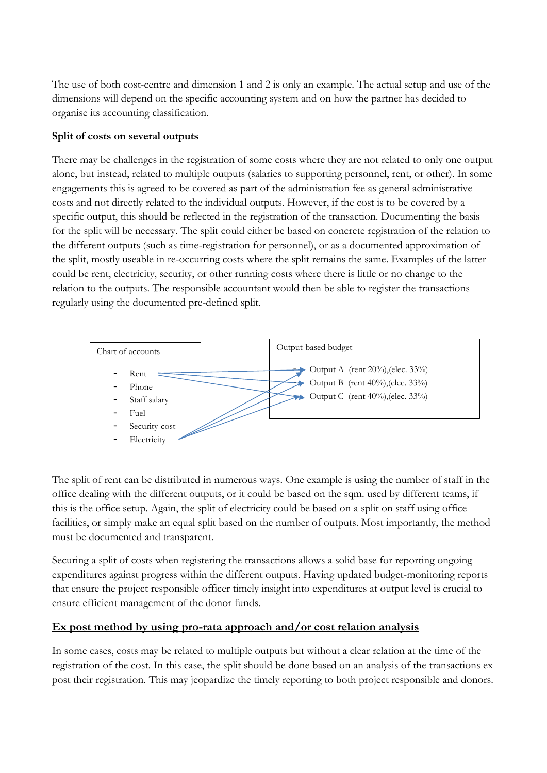The use of both cost-centre and dimension 1 and 2 is only an example. The actual setup and use of the dimensions will depend on the specific accounting system and on how the partner has decided to organise its accounting classification.

### **Split of costs on several outputs**

There may be challenges in the registration of some costs where they are not related to only one output alone, but instead, related to multiple outputs (salaries to supporting personnel, rent, or other). In some engagements this is agreed to be covered as part of the administration fee as general administrative costs and not directly related to the individual outputs. However, if the cost is to be covered by a specific output, this should be reflected in the registration of the transaction. Documenting the basis for the split will be necessary. The split could either be based on concrete registration of the relation to the different outputs (such as time-registration for personnel), or as a documented approximation of the split, mostly useable in re-occurring costs where the split remains the same. Examples of the latter could be rent, electricity, security, or other running costs where there is little or no change to the relation to the outputs. The responsible accountant would then be able to register the transactions regularly using the documented pre-defined split.



The split of rent can be distributed in numerous ways. One example is using the number of staff in the office dealing with the different outputs, or it could be based on the sqm. used by different teams, if this is the office setup. Again, the split of electricity could be based on a split on staff using office facilities, or simply make an equal split based on the number of outputs. Most importantly, the method must be documented and transparent.

Securing a split of costs when registering the transactions allows a solid base for reporting ongoing expenditures against progress within the different outputs. Having updated budget-monitoring reports that ensure the project responsible officer timely insight into expenditures at output level is crucial to ensure efficient management of the donor funds.

## **Ex post method by using pro-rata approach and/or cost relation analysis**

In some cases, costs may be related to multiple outputs but without a clear relation at the time of the registration of the cost. In this case, the split should be done based on an analysis of the transactions ex post their registration. This may jeopardize the timely reporting to both project responsible and donors.